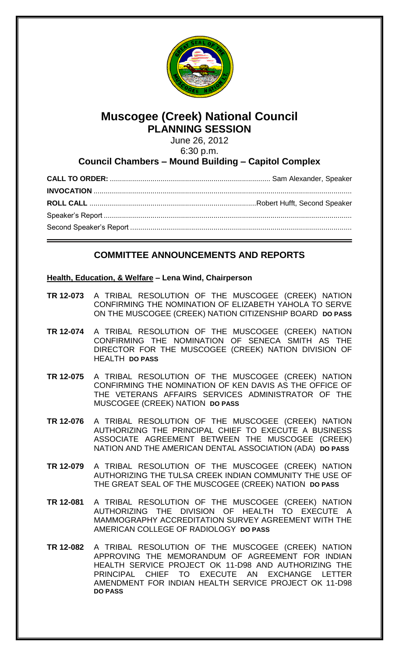

# **Muscogee (Creek) National Council PLANNING SESSION**

June 26, 2012 6:30 p.m.

## **Council Chambers – Mound Building – Capitol Complex**

## **COMMITTEE ANNOUNCEMENTS AND REPORTS**

### **Health, Education, & Welfare – Lena Wind, Chairperson**

- **TR 12-073** A TRIBAL RESOLUTION OF THE MUSCOGEE (CREEK) NATION CONFIRMING THE NOMINATION OF ELIZABETH YAHOLA TO SERVE ON THE MUSCOGEE (CREEK) NATION CITIZENSHIP BOARD **DO PASS**
- **TR 12-074** A TRIBAL RESOLUTION OF THE MUSCOGEE (CREEK) NATION CONFIRMING THE NOMINATION OF SENECA SMITH AS THE DIRECTOR FOR THE MUSCOGEE (CREEK) NATION DIVISION OF HEALTH **DO PASS**
- **TR 12-075** A TRIBAL RESOLUTION OF THE MUSCOGEE (CREEK) NATION CONFIRMING THE NOMINATION OF KEN DAVIS AS THE OFFICE OF THE VETERANS AFFAIRS SERVICES ADMINISTRATOR OF THE MUSCOGEE (CREEK) NATION **DO PASS**
- **TR 12-076** A TRIBAL RESOLUTION OF THE MUSCOGEE (CREEK) NATION AUTHORIZING THE PRINCIPAL CHIEF TO EXECUTE A BUSINESS ASSOCIATE AGREEMENT BETWEEN THE MUSCOGEE (CREEK) NATION AND THE AMERICAN DENTAL ASSOCIATION (ADA) **DO PASS**
- **TR 12-079** A TRIBAL RESOLUTION OF THE MUSCOGEE (CREEK) NATION AUTHORIZING THE TULSA CREEK INDIAN COMMUNITY THE USE OF THE GREAT SEAL OF THE MUSCOGEE (CREEK) NATION **DO PASS**
- **TR 12-081** A TRIBAL RESOLUTION OF THE MUSCOGEE (CREEK) NATION AUTHORIZING THE DIVISION OF HEALTH TO EXECUTE A MAMMOGRAPHY ACCREDITATION SURVEY AGREEMENT WITH THE AMERICAN COLLEGE OF RADIOLOGY **DO PASS**
- **TR 12-082** A TRIBAL RESOLUTION OF THE MUSCOGEE (CREEK) NATION APPROVING THE MEMORANDUM OF AGREEMENT FOR INDIAN HEALTH SERVICE PROJECT OK 11-D98 AND AUTHORIZING THE PRINCIPAL CHIEF TO EXECUTE AN EXCHANGE LETTER AMENDMENT FOR INDIAN HEALTH SERVICE PROJECT OK 11-D98 **DO PASS**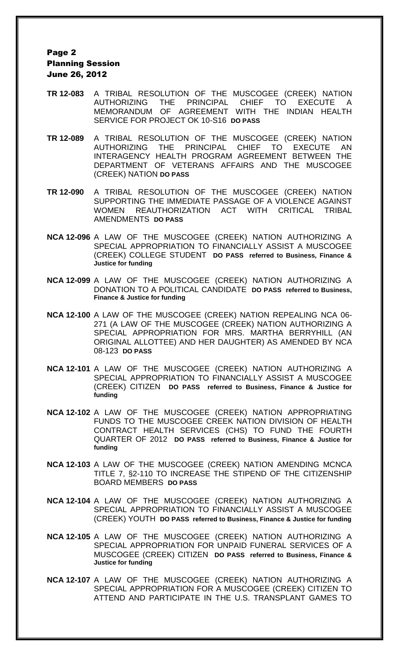### Page 2 Planning Session June 26, 2012

- **TR 12-083** A TRIBAL RESOLUTION OF THE MUSCOGEE (CREEK) NATION AUTHORIZING THE PRINCIPAL CHIEF TO EXECUTE A MEMORANDUM OF AGREEMENT WITH THE INDIAN HEALTH SERVICE FOR PROJECT OK 10-S16 **DO PASS**
- **TR 12-089** A TRIBAL RESOLUTION OF THE MUSCOGEE (CREEK) NATION AUTHORIZING THE PRINCIPAL CHIEF TO EXECUTE INTERAGENCY HEALTH PROGRAM AGREEMENT BETWEEN THE DEPARTMENT OF VETERANS AFFAIRS AND THE MUSCOGEE (CREEK) NATION **DO PASS**
- **TR 12-090** A TRIBAL RESOLUTION OF THE MUSCOGEE (CREEK) NATION SUPPORTING THE IMMEDIATE PASSAGE OF A VIOLENCE AGAINST WOMEN REAUTHORIZATION ACT WITH CRITICAL TRIBAL AMENDMENTS **DO PASS**
- **NCA 12-096** A LAW OF THE MUSCOGEE (CREEK) NATION AUTHORIZING A SPECIAL APPROPRIATION TO FINANCIALLY ASSIST A MUSCOGEE (CREEK) COLLEGE STUDENT **DO PASS referred to Business, Finance & Justice for funding**
- **NCA 12-099** A LAW OF THE MUSCOGEE (CREEK) NATION AUTHORIZING A DONATION TO A POLITICAL CANDIDATE **DO PASS referred to Business, Finance & Justice for funding**
- **NCA 12-100** A LAW OF THE MUSCOGEE (CREEK) NATION REPEALING NCA 06- 271 (A LAW OF THE MUSCOGEE (CREEK) NATION AUTHORIZING A SPECIAL APPROPRIATION FOR MRS. MARTHA BERRYHILL (AN ORIGINAL ALLOTTEE) AND HER DAUGHTER) AS AMENDED BY NCA 08-123 **DO PASS**
- **NCA 12-101** A LAW OF THE MUSCOGEE (CREEK) NATION AUTHORIZING A SPECIAL APPROPRIATION TO FINANCIALLY ASSIST A MUSCOGEE (CREEK) CITIZEN **DO PASS referred to Business, Finance & Justice for funding**
- **NCA 12-102** A LAW OF THE MUSCOGEE (CREEK) NATION APPROPRIATING FUNDS TO THE MUSCOGEE CREEK NATION DIVISION OF HEALTH CONTRACT HEALTH SERVICES (CHS) TO FUND THE FOURTH QUARTER OF 2012 **DO PASS referred to Business, Finance & Justice for funding**
- **NCA 12-103** A LAW OF THE MUSCOGEE (CREEK) NATION AMENDING MCNCA TITLE 7, §2-110 TO INCREASE THE STIPEND OF THE CITIZENSHIP BOARD MEMBERS **DO PASS**
- **NCA 12-104** A LAW OF THE MUSCOGEE (CREEK) NATION AUTHORIZING A SPECIAL APPROPRIATION TO FINANCIALLY ASSIST A MUSCOGEE (CREEK) YOUTH **DO PASS referred to Business, Finance & Justice for funding**
- **NCA 12-105** A LAW OF THE MUSCOGEE (CREEK) NATION AUTHORIZING A SPECIAL APPROPRIATION FOR UNPAID FUNERAL SERVICES OF A MUSCOGEE (CREEK) CITIZEN **DO PASS referred to Business, Finance & Justice for funding**
- **NCA 12-107** A LAW OF THE MUSCOGEE (CREEK) NATION AUTHORIZING A SPECIAL APPROPRIATION FOR A MUSCOGEE (CREEK) CITIZEN TO ATTEND AND PARTICIPATE IN THE U.S. TRANSPLANT GAMES TO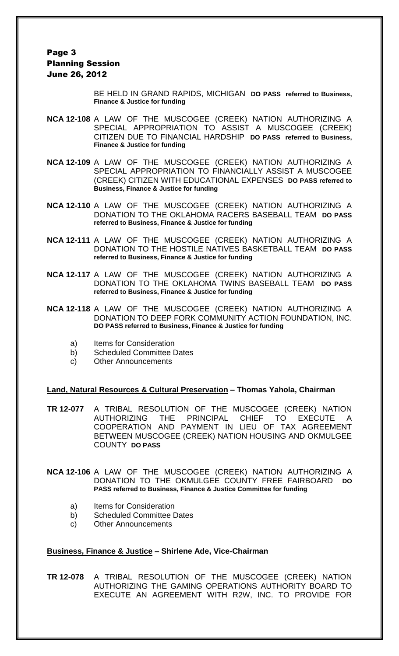### Page 3 Planning Session June 26, 2012

BE HELD IN GRAND RAPIDS, MICHIGAN **DO PASS referred to Business, Finance & Justice for funding**

- **NCA 12-108** A LAW OF THE MUSCOGEE (CREEK) NATION AUTHORIZING A SPECIAL APPROPRIATION TO ASSIST A MUSCOGEE (CREEK) CITIZEN DUE TO FINANCIAL HARDSHIP **DO PASS referred to Business, Finance & Justice for funding**
- **NCA 12-109** A LAW OF THE MUSCOGEE (CREEK) NATION AUTHORIZING A SPECIAL APPROPRIATION TO FINANCIALLY ASSIST A MUSCOGEE (CREEK) CITIZEN WITH EDUCATIONAL EXPENSES **DO PASS referred to Business, Finance & Justice for funding**
- **NCA 12-110** A LAW OF THE MUSCOGEE (CREEK) NATION AUTHORIZING A DONATION TO THE OKLAHOMA RACERS BASEBALL TEAM **DO PASS referred to Business, Finance & Justice for funding**
- **NCA 12-111** A LAW OF THE MUSCOGEE (CREEK) NATION AUTHORIZING A DONATION TO THE HOSTILE NATIVES BASKETBALL TEAM **DO PASS referred to Business, Finance & Justice for funding**
- **NCA 12-117** A LAW OF THE MUSCOGEE (CREEK) NATION AUTHORIZING A DONATION TO THE OKLAHOMA TWINS BASEBALL TEAM **DO PASS referred to Business, Finance & Justice for funding**
- **NCA 12-118** A LAW OF THE MUSCOGEE (CREEK) NATION AUTHORIZING A DONATION TO DEEP FORK COMMUNITY ACTION FOUNDATION, INC. **DO PASS referred to Business, Finance & Justice for funding**
	- a) Items for Consideration
	- b) Scheduled Committee Dates
	- c) Other Announcements

### **Land, Natural Resources & Cultural Preservation – Thomas Yahola, Chairman**

**TR 12-077** A TRIBAL RESOLUTION OF THE MUSCOGEE (CREEK) NATION AUTHORIZING THE PRINCIPAL CHIEF TO EXECUTE A COOPERATION AND PAYMENT IN LIEU OF TAX AGREEMENT BETWEEN MUSCOGEE (CREEK) NATION HOUSING AND OKMULGEE COUNTY **DO PASS**

**NCA 12-106** A LAW OF THE MUSCOGEE (CREEK) NATION AUTHORIZING A DONATION TO THE OKMULGEE COUNTY FREE FAIRBOARD **DO PASS referred to Business, Finance & Justice Committee for funding**

- a) Items for Consideration
- b) Scheduled Committee Dates
- c) Other Announcements

### **Business, Finance & Justice – Shirlene Ade, Vice-Chairman**

**TR 12-078** A TRIBAL RESOLUTION OF THE MUSCOGEE (CREEK) NATION AUTHORIZING THE GAMING OPERATIONS AUTHORITY BOARD TO EXECUTE AN AGREEMENT WITH R2W, INC. TO PROVIDE FOR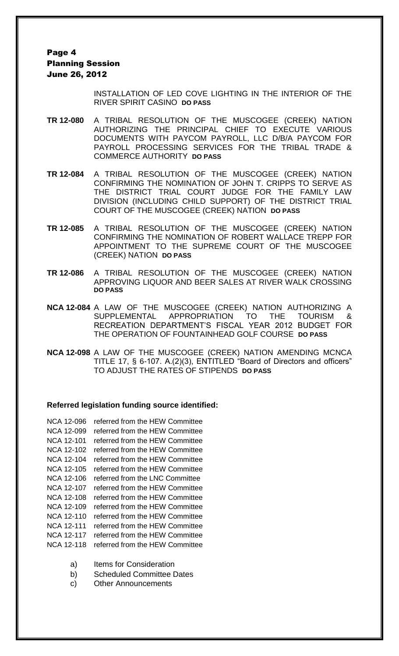### Page 4 Planning Session June 26, 2012

INSTALLATION OF LED COVE LIGHTING IN THE INTERIOR OF THE RIVER SPIRIT CASINO **DO PASS**

- **TR 12-080** A TRIBAL RESOLUTION OF THE MUSCOGEE (CREEK) NATION AUTHORIZING THE PRINCIPAL CHIEF TO EXECUTE VARIOUS DOCUMENTS WITH PAYCOM PAYROLL, LLC D/B/A PAYCOM FOR PAYROLL PROCESSING SERVICES FOR THE TRIBAL TRADE & COMMERCE AUTHORITY **DO PASS**
- **TR 12-084** A TRIBAL RESOLUTION OF THE MUSCOGEE (CREEK) NATION CONFIRMING THE NOMINATION OF JOHN T. CRIPPS TO SERVE AS THE DISTRICT TRIAL COURT JUDGE FOR THE FAMILY LAW DIVISION (INCLUDING CHILD SUPPORT) OF THE DISTRICT TRIAL COURT OF THE MUSCOGEE (CREEK) NATION **DO PASS**
- **TR 12-085** A TRIBAL RESOLUTION OF THE MUSCOGEE (CREEK) NATION CONFIRMING THE NOMINATION OF ROBERT WALLACE TREPP FOR APPOINTMENT TO THE SUPREME COURT OF THE MUSCOGEE (CREEK) NATION **DO PASS**
- **TR 12-086** A TRIBAL RESOLUTION OF THE MUSCOGEE (CREEK) NATION APPROVING LIQUOR AND BEER SALES AT RIVER WALK CROSSING **DO PASS**
- **NCA 12-084** A LAW OF THE MUSCOGEE (CREEK) NATION AUTHORIZING A SUPPLEMENTAL APPROPRIATION TO THE TOURISM & RECREATION DEPARTMENT'S FISCAL YEAR 2012 BUDGET FOR THE OPERATION OF FOUNTAINHEAD GOLF COURSE **DO PASS**
- **NCA 12-098** A LAW OF THE MUSCOGEE (CREEK) NATION AMENDING MCNCA TITLE 17, § 6-107. A.(2)(3), ENTITLED "Board of Directors and officers" TO ADJUST THE RATES OF STIPENDS **DO PASS**

### **Referred legislation funding source identified:**

- NCA 12-096 referred from the HEW Committee NCA 12-099 referred from the HEW Committee NCA 12-101 referred from the HEW Committee NCA 12-102 referred from the HEW Committee NCA 12-104 referred from the HEW Committee NCA 12-105 referred from the HEW Committee NCA 12-106 referred from the LNC Committee NCA 12-107 referred from the HEW Committee NCA 12-108 referred from the HEW Committee NCA 12-109 referred from the HEW Committee NCA 12-110 referred from the HEW Committee NCA 12-111 referred from the HEW Committee NCA 12-117 referred from the HEW Committee NCA 12-118 referred from the HEW Committee
	- a) Items for Consideration
	- b) Scheduled Committee Dates
	- c) Other Announcements